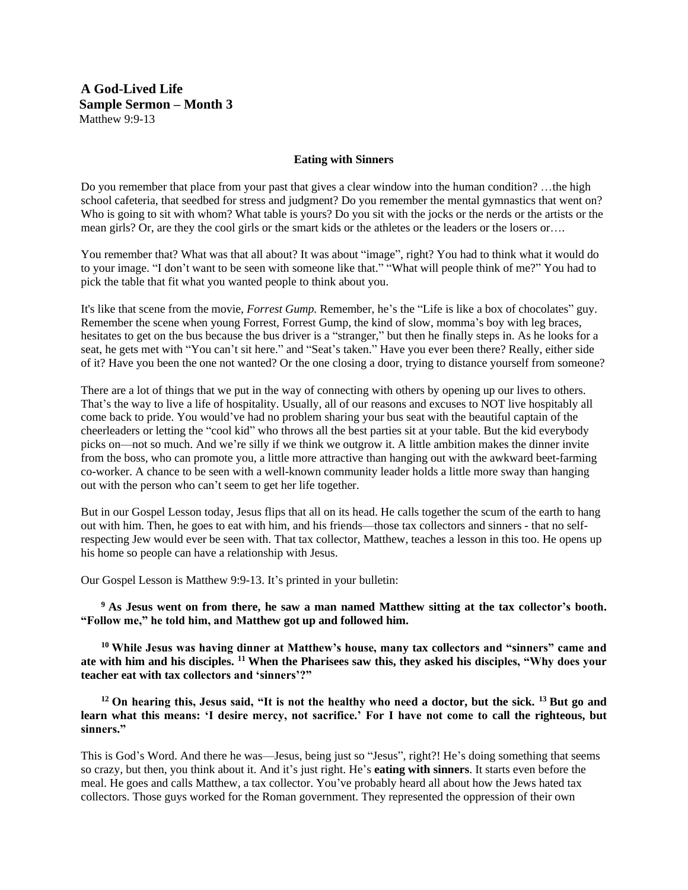**A God-Lived Life Sample Sermon – Month 3** Matthew 9:9-13

## **Eating with Sinners**

Do you remember that place from your past that gives a clear window into the human condition? …the high school cafeteria, that seedbed for stress and judgment? Do you remember the mental gymnastics that went on? Who is going to sit with whom? What table is yours? Do you sit with the jocks or the nerds or the artists or the mean girls? Or, are they the cool girls or the smart kids or the athletes or the leaders or the losers or….

You remember that? What was that all about? It was about "image", right? You had to think what it would do to your image. "I don't want to be seen with someone like that." "What will people think of me?" You had to pick the table that fit what you wanted people to think about you.

It's like that scene from the movie, *Forrest Gump.* Remember, he's the "Life is like a box of chocolates" guy. Remember the scene when young Forrest, Forrest Gump, the kind of slow, momma's boy with leg braces, hesitates to get on the bus because the bus driver is a "stranger," but then he finally steps in. As he looks for a seat, he gets met with "You can't sit here." and "Seat's taken." Have you ever been there? Really, either side of it? Have you been the one not wanted? Or the one closing a door, trying to distance yourself from someone?

There are a lot of things that we put in the way of connecting with others by opening up our lives to others. That's the way to live a life of hospitality. Usually, all of our reasons and excuses to NOT live hospitably all come back to pride. You would've had no problem sharing your bus seat with the beautiful captain of the cheerleaders or letting the "cool kid" who throws all the best parties sit at your table. But the kid everybody picks on—not so much. And we're silly if we think we outgrow it. A little ambition makes the dinner invite from the boss, who can promote you, a little more attractive than hanging out with the awkward beet-farming co-worker. A chance to be seen with a well-known community leader holds a little more sway than hanging out with the person who can't seem to get her life together.

But in our Gospel Lesson today, Jesus flips that all on its head. He calls together the scum of the earth to hang out with him. Then, he goes to eat with him, and his friends—those tax collectors and sinners - that no selfrespecting Jew would ever be seen with. That tax collector, Matthew, teaches a lesson in this too. He opens up his home so people can have a relationship with Jesus.

Our Gospel Lesson is Matthew 9:9-13. It's printed in your bulletin:

**<sup>9</sup>As Jesus went on from there, he saw a man named Matthew sitting at the tax collector's booth. "Follow me," he told him, and Matthew got up and followed him.** 

**<sup>10</sup>While Jesus was having dinner at Matthew's house, many tax collectors and "sinners" came and ate with him and his disciples. <sup>11</sup>When the Pharisees saw this, they asked his disciples, "Why does your teacher eat with tax collectors and 'sinners'?"** 

**<sup>12</sup>On hearing this, Jesus said, "It is not the healthy who need a doctor, but the sick. <sup>13</sup>But go and learn what this means: 'I desire mercy, not sacrifice.' For I have not come to call the righteous, but sinners."** 

This is God's Word. And there he was—Jesus, being just so "Jesus", right?! He's doing something that seems so crazy, but then, you think about it. And it's just right. He's **eating with sinners**. It starts even before the meal. He goes and calls Matthew, a tax collector. You've probably heard all about how the Jews hated tax collectors. Those guys worked for the Roman government. They represented the oppression of their own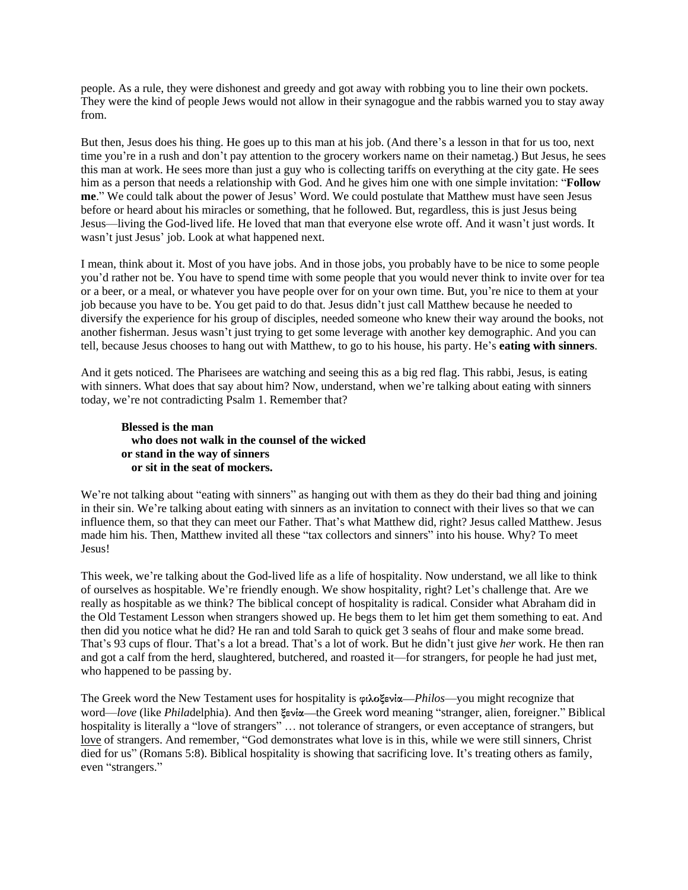people. As a rule, they were dishonest and greedy and got away with robbing you to line their own pockets. They were the kind of people Jews would not allow in their synagogue and the rabbis warned you to stay away from.

But then, Jesus does his thing. He goes up to this man at his job. (And there's a lesson in that for us too, next time you're in a rush and don't pay attention to the grocery workers name on their nametag.) But Jesus, he sees this man at work. He sees more than just a guy who is collecting tariffs on everything at the city gate. He sees him as a person that needs a relationship with God. And he gives him one with one simple invitation: "**Follow me**." We could talk about the power of Jesus' Word. We could postulate that Matthew must have seen Jesus before or heard about his miracles or something, that he followed. But, regardless, this is just Jesus being Jesus—living the God-lived life. He loved that man that everyone else wrote off. And it wasn't just words. It wasn't just Jesus' job. Look at what happened next.

I mean, think about it. Most of you have jobs. And in those jobs, you probably have to be nice to some people you'd rather not be. You have to spend time with some people that you would never think to invite over for tea or a beer, or a meal, or whatever you have people over for on your own time. But, you're nice to them at your job because you have to be. You get paid to do that. Jesus didn't just call Matthew because he needed to diversify the experience for his group of disciples, needed someone who knew their way around the books, not another fisherman. Jesus wasn't just trying to get some leverage with another key demographic. And you can tell, because Jesus chooses to hang out with Matthew, to go to his house, his party. He's **eating with sinners**.

And it gets noticed. The Pharisees are watching and seeing this as a big red flag. This rabbi, Jesus, is eating with sinners. What does that say about him? Now, understand, when we're talking about eating with sinners today, we're not contradicting Psalm 1. Remember that?

## **Blessed is the man who does not walk in the counsel of the wicked or stand in the way of sinners or sit in the seat of mockers.**

We're not talking about "eating with sinners" as hanging out with them as they do their bad thing and joining in their sin. We're talking about eating with sinners as an invitation to connect with their lives so that we can influence them, so that they can meet our Father. That's what Matthew did, right? Jesus called Matthew. Jesus made him his. Then, Matthew invited all these "tax collectors and sinners" into his house. Why? To meet Jesus!

This week, we're talking about the God-lived life as a life of hospitality. Now understand, we all like to think of ourselves as hospitable. We're friendly enough. We show hospitality, right? Let's challenge that. Are we really as hospitable as we think? The biblical concept of hospitality is radical. Consider what Abraham did in the Old Testament Lesson when strangers showed up. He begs them to let him get them something to eat. And then did you notice what he did? He ran and told Sarah to quick get 3 seahs of flour and make some bread. That's 93 cups of flour. That's a lot a bread. That's a lot of work. But he didn't just give *her* work. He then ran and got a calf from the herd, slaughtered, butchered, and roasted it—for strangers, for people he had just met, who happened to be passing by.

The Greek word the New Testament uses for hospitality is **φιλοξενία**—*Philos*—you might recognize that word—*love* (like *Phila*delphia). And then **ξενία**—the Greek word meaning "stranger, alien, foreigner." Biblical hospitality is literally a "love of strangers" ... not tolerance of strangers, or even acceptance of strangers, but love of strangers. And remember, "God demonstrates what love is in this, while we were still sinners, Christ died for us" (Romans 5:8). Biblical hospitality is showing that sacrificing love. It's treating others as family, even "strangers."